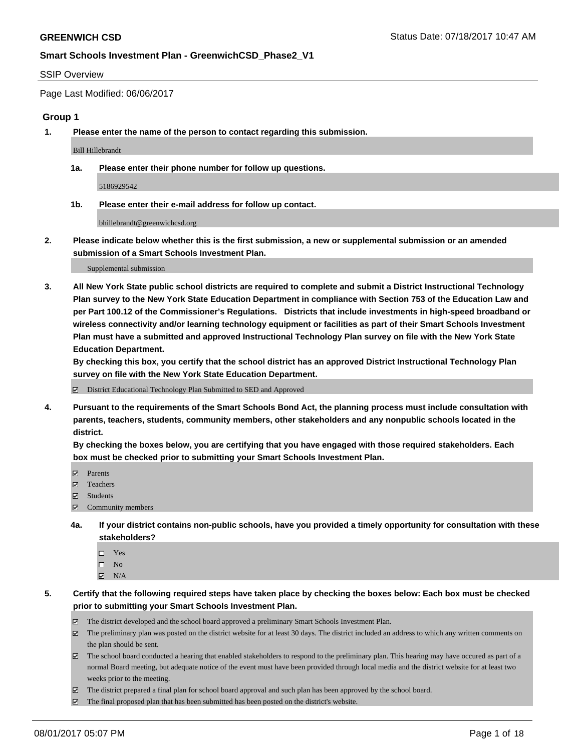#### SSIP Overview

Page Last Modified: 06/06/2017

#### **Group 1**

**1. Please enter the name of the person to contact regarding this submission.**

Bill Hillebrandt

**1a. Please enter their phone number for follow up questions.**

5186929542

**1b. Please enter their e-mail address for follow up contact.**

bhillebrandt@greenwichcsd.org

**2. Please indicate below whether this is the first submission, a new or supplemental submission or an amended submission of a Smart Schools Investment Plan.**

Supplemental submission

**3. All New York State public school districts are required to complete and submit a District Instructional Technology Plan survey to the New York State Education Department in compliance with Section 753 of the Education Law and per Part 100.12 of the Commissioner's Regulations. Districts that include investments in high-speed broadband or wireless connectivity and/or learning technology equipment or facilities as part of their Smart Schools Investment Plan must have a submitted and approved Instructional Technology Plan survey on file with the New York State Education Department.** 

**By checking this box, you certify that the school district has an approved District Instructional Technology Plan survey on file with the New York State Education Department.**

District Educational Technology Plan Submitted to SED and Approved

**4. Pursuant to the requirements of the Smart Schools Bond Act, the planning process must include consultation with parents, teachers, students, community members, other stakeholders and any nonpublic schools located in the district.** 

**By checking the boxes below, you are certifying that you have engaged with those required stakeholders. Each box must be checked prior to submitting your Smart Schools Investment Plan.**

- **マ** Parents
- □ Teachers
- Students
- $\Xi$  Community members
- **4a. If your district contains non-public schools, have you provided a timely opportunity for consultation with these stakeholders?**
	- Yes
	- $\hfill \square$  No
	- $\boxtimes$  N/A
- **5. Certify that the following required steps have taken place by checking the boxes below: Each box must be checked prior to submitting your Smart Schools Investment Plan.**
	- The district developed and the school board approved a preliminary Smart Schools Investment Plan.
	- $\boxtimes$  The preliminary plan was posted on the district website for at least 30 days. The district included an address to which any written comments on the plan should be sent.
	- $\boxtimes$  The school board conducted a hearing that enabled stakeholders to respond to the preliminary plan. This hearing may have occured as part of a normal Board meeting, but adequate notice of the event must have been provided through local media and the district website for at least two weeks prior to the meeting.
	- The district prepared a final plan for school board approval and such plan has been approved by the school board.
	- $\boxtimes$  The final proposed plan that has been submitted has been posted on the district's website.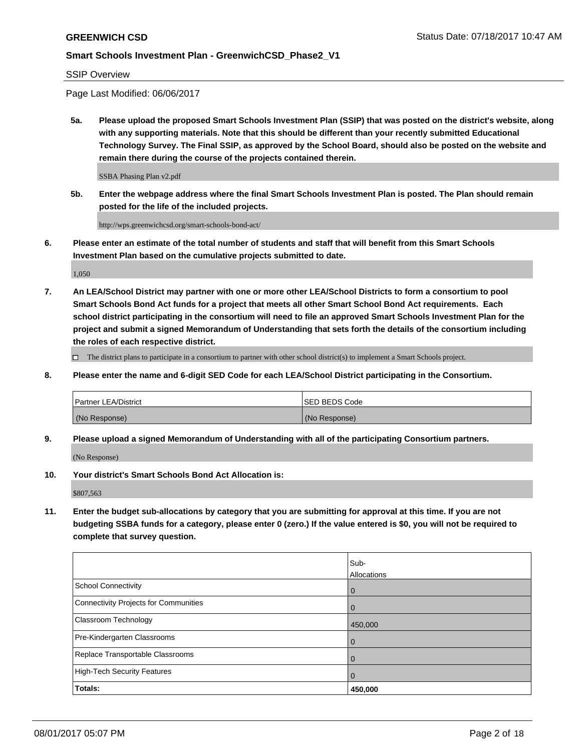SSIP Overview

Page Last Modified: 06/06/2017

**5a. Please upload the proposed Smart Schools Investment Plan (SSIP) that was posted on the district's website, along with any supporting materials. Note that this should be different than your recently submitted Educational Technology Survey. The Final SSIP, as approved by the School Board, should also be posted on the website and remain there during the course of the projects contained therein.**

SSBA Phasing Plan v2.pdf

**5b. Enter the webpage address where the final Smart Schools Investment Plan is posted. The Plan should remain posted for the life of the included projects.**

http://wps.greenwichcsd.org/smart-schools-bond-act/

**6. Please enter an estimate of the total number of students and staff that will benefit from this Smart Schools Investment Plan based on the cumulative projects submitted to date.**

1,050

**7. An LEA/School District may partner with one or more other LEA/School Districts to form a consortium to pool Smart Schools Bond Act funds for a project that meets all other Smart School Bond Act requirements. Each school district participating in the consortium will need to file an approved Smart Schools Investment Plan for the project and submit a signed Memorandum of Understanding that sets forth the details of the consortium including the roles of each respective district.**

 $\Box$  The district plans to participate in a consortium to partner with other school district(s) to implement a Smart Schools project.

**8. Please enter the name and 6-digit SED Code for each LEA/School District participating in the Consortium.**

| <b>Partner LEA/District</b> | <b>ISED BEDS Code</b> |
|-----------------------------|-----------------------|
| (No Response)               | (No Response)         |

**9. Please upload a signed Memorandum of Understanding with all of the participating Consortium partners.**

(No Response)

**10. Your district's Smart Schools Bond Act Allocation is:**

\$807,563

**11. Enter the budget sub-allocations by category that you are submitting for approval at this time. If you are not budgeting SSBA funds for a category, please enter 0 (zero.) If the value entered is \$0, you will not be required to complete that survey question.**

|                                       | Sub-        |
|---------------------------------------|-------------|
|                                       | Allocations |
| <b>School Connectivity</b>            | 0           |
| Connectivity Projects for Communities | $\Omega$    |
| <b>Classroom Technology</b>           | 450,000     |
| Pre-Kindergarten Classrooms           | 0           |
| Replace Transportable Classrooms      | O           |
| <b>High-Tech Security Features</b>    | 0           |
| Totals:                               | 450,000     |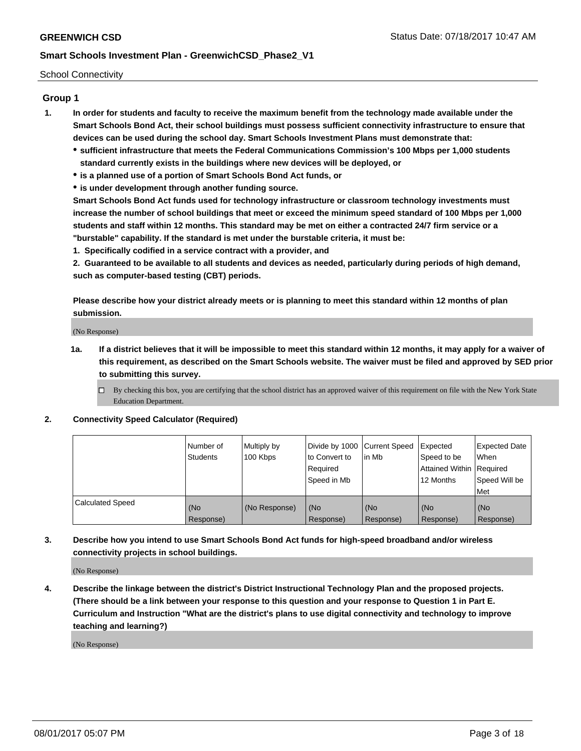#### School Connectivity

## **Group 1**

- **1. In order for students and faculty to receive the maximum benefit from the technology made available under the Smart Schools Bond Act, their school buildings must possess sufficient connectivity infrastructure to ensure that devices can be used during the school day. Smart Schools Investment Plans must demonstrate that:**
	- **sufficient infrastructure that meets the Federal Communications Commission's 100 Mbps per 1,000 students standard currently exists in the buildings where new devices will be deployed, or**
	- **is a planned use of a portion of Smart Schools Bond Act funds, or**
	- **is under development through another funding source.**

**Smart Schools Bond Act funds used for technology infrastructure or classroom technology investments must increase the number of school buildings that meet or exceed the minimum speed standard of 100 Mbps per 1,000 students and staff within 12 months. This standard may be met on either a contracted 24/7 firm service or a "burstable" capability. If the standard is met under the burstable criteria, it must be:**

**1. Specifically codified in a service contract with a provider, and**

**2. Guaranteed to be available to all students and devices as needed, particularly during periods of high demand, such as computer-based testing (CBT) periods.**

**Please describe how your district already meets or is planning to meet this standard within 12 months of plan submission.**

(No Response)

- **1a. If a district believes that it will be impossible to meet this standard within 12 months, it may apply for a waiver of this requirement, as described on the Smart Schools website. The waiver must be filed and approved by SED prior to submitting this survey.**
	- By checking this box, you are certifying that the school district has an approved waiver of this requirement on file with the New York State Education Department.

#### **2. Connectivity Speed Calculator (Required)**

|                         | I Number of<br><b>Students</b> | Multiply by<br>100 Kbps | Divide by 1000   Current Speed<br>to Convert to | lin Mb    | Expected<br>Speed to be  | <b>Expected Date</b><br>When |
|-------------------------|--------------------------------|-------------------------|-------------------------------------------------|-----------|--------------------------|------------------------------|
|                         |                                |                         | Required                                        |           | Attained Within Required |                              |
|                         |                                |                         | Speed in Mb                                     |           | 12 Months                | Speed Will be                |
|                         |                                |                         |                                                 |           |                          | Met                          |
| <b>Calculated Speed</b> | (No                            | (No Response)           | (No                                             | (No       | (No                      | (No                          |
|                         | Response)                      |                         | Response)                                       | Response) | Response)                | Response)                    |

**3. Describe how you intend to use Smart Schools Bond Act funds for high-speed broadband and/or wireless connectivity projects in school buildings.**

(No Response)

**4. Describe the linkage between the district's District Instructional Technology Plan and the proposed projects. (There should be a link between your response to this question and your response to Question 1 in Part E. Curriculum and Instruction "What are the district's plans to use digital connectivity and technology to improve teaching and learning?)**

(No Response)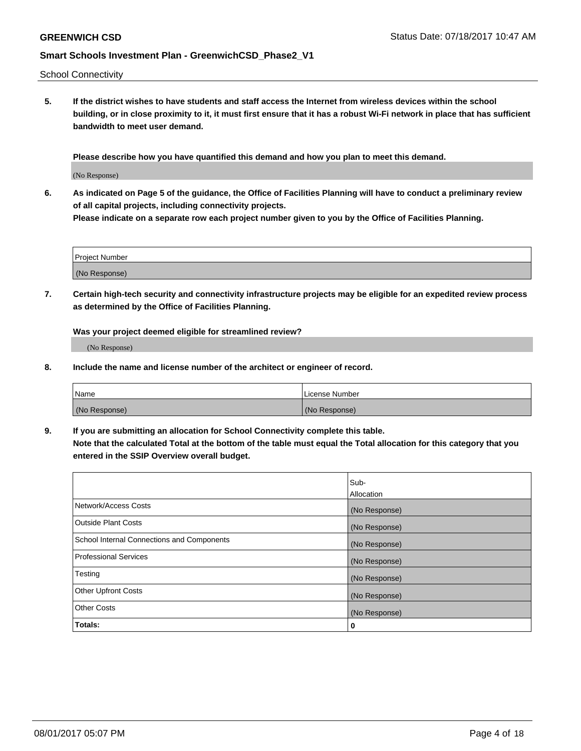School Connectivity

**5. If the district wishes to have students and staff access the Internet from wireless devices within the school building, or in close proximity to it, it must first ensure that it has a robust Wi-Fi network in place that has sufficient bandwidth to meet user demand.**

**Please describe how you have quantified this demand and how you plan to meet this demand.**

(No Response)

**6. As indicated on Page 5 of the guidance, the Office of Facilities Planning will have to conduct a preliminary review of all capital projects, including connectivity projects.**

**Please indicate on a separate row each project number given to you by the Office of Facilities Planning.**

| <b>Project Number</b> |  |
|-----------------------|--|
| (No Response)         |  |

**7. Certain high-tech security and connectivity infrastructure projects may be eligible for an expedited review process as determined by the Office of Facilities Planning.**

**Was your project deemed eligible for streamlined review?**

(No Response)

**8. Include the name and license number of the architect or engineer of record.**

| <b>Name</b>   | l License Number |
|---------------|------------------|
| (No Response) | (No Response)    |

**9. If you are submitting an allocation for School Connectivity complete this table. Note that the calculated Total at the bottom of the table must equal the Total allocation for this category that you entered in the SSIP Overview overall budget.** 

|                                                   | Sub-          |
|---------------------------------------------------|---------------|
|                                                   | Allocation    |
| Network/Access Costs                              | (No Response) |
| Outside Plant Costs                               | (No Response) |
| <b>School Internal Connections and Components</b> | (No Response) |
| <b>Professional Services</b>                      | (No Response) |
| Testing                                           | (No Response) |
| <b>Other Upfront Costs</b>                        | (No Response) |
| <b>Other Costs</b>                                | (No Response) |
| Totals:                                           | 0             |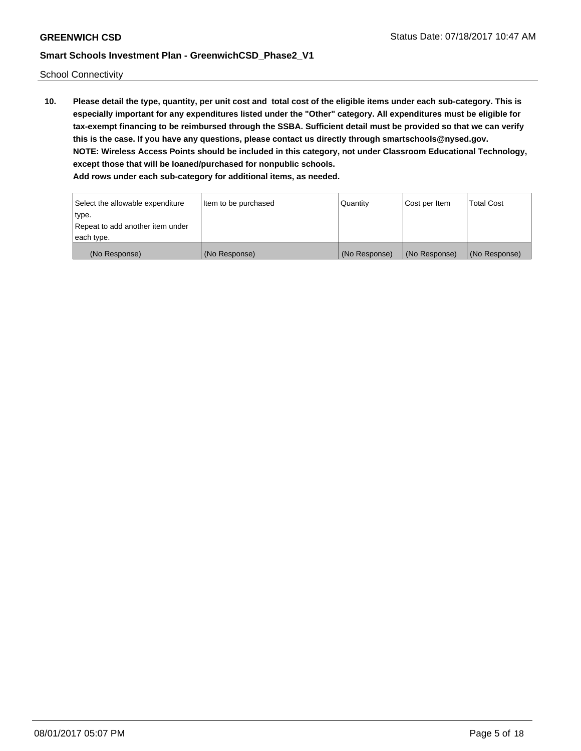School Connectivity

**10. Please detail the type, quantity, per unit cost and total cost of the eligible items under each sub-category. This is especially important for any expenditures listed under the "Other" category. All expenditures must be eligible for tax-exempt financing to be reimbursed through the SSBA. Sufficient detail must be provided so that we can verify this is the case. If you have any questions, please contact us directly through smartschools@nysed.gov. NOTE: Wireless Access Points should be included in this category, not under Classroom Educational Technology, except those that will be loaned/purchased for nonpublic schools. Add rows under each sub-category for additional items, as needed.**

| Select the allowable expenditure | Item to be purchased | Quantity      | Cost per Item | Total Cost    |
|----------------------------------|----------------------|---------------|---------------|---------------|
| type.                            |                      |               |               |               |
| Repeat to add another item under |                      |               |               |               |
| each type.                       |                      |               |               |               |
| (No Response)                    | (No Response)        | (No Response) | (No Response) | (No Response) |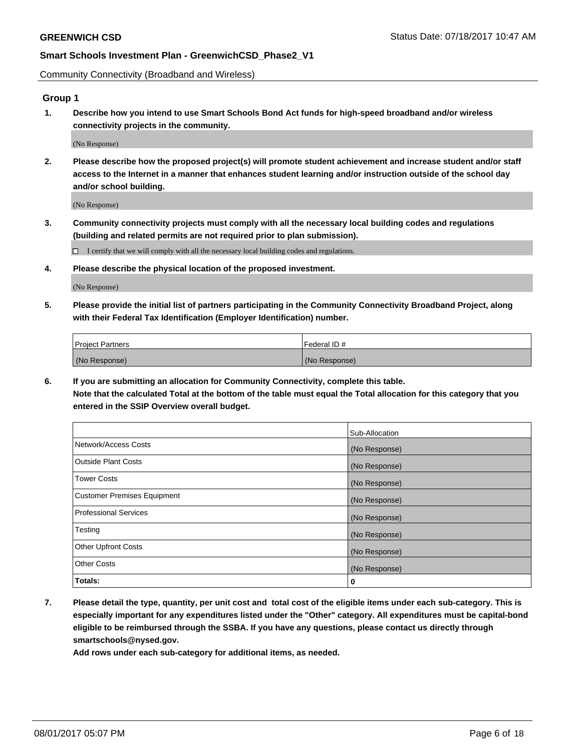Community Connectivity (Broadband and Wireless)

#### **Group 1**

**1. Describe how you intend to use Smart Schools Bond Act funds for high-speed broadband and/or wireless connectivity projects in the community.**

(No Response)

**2. Please describe how the proposed project(s) will promote student achievement and increase student and/or staff access to the Internet in a manner that enhances student learning and/or instruction outside of the school day and/or school building.**

(No Response)

**3. Community connectivity projects must comply with all the necessary local building codes and regulations (building and related permits are not required prior to plan submission).**

 $\Box$  I certify that we will comply with all the necessary local building codes and regulations.

**4. Please describe the physical location of the proposed investment.**

(No Response)

**5. Please provide the initial list of partners participating in the Community Connectivity Broadband Project, along with their Federal Tax Identification (Employer Identification) number.**

| <b>Project Partners</b> | Federal ID#   |
|-------------------------|---------------|
| (No Response)           | (No Response) |

**6. If you are submitting an allocation for Community Connectivity, complete this table. Note that the calculated Total at the bottom of the table must equal the Total allocation for this category that you entered in the SSIP Overview overall budget.**

|                                    | Sub-Allocation |
|------------------------------------|----------------|
| Network/Access Costs               | (No Response)  |
| Outside Plant Costs                | (No Response)  |
| <b>Tower Costs</b>                 | (No Response)  |
| <b>Customer Premises Equipment</b> | (No Response)  |
| Professional Services              | (No Response)  |
| Testing                            | (No Response)  |
| <b>Other Upfront Costs</b>         | (No Response)  |
| <b>Other Costs</b>                 | (No Response)  |
| Totals:                            | 0              |

**7. Please detail the type, quantity, per unit cost and total cost of the eligible items under each sub-category. This is especially important for any expenditures listed under the "Other" category. All expenditures must be capital-bond eligible to be reimbursed through the SSBA. If you have any questions, please contact us directly through smartschools@nysed.gov.**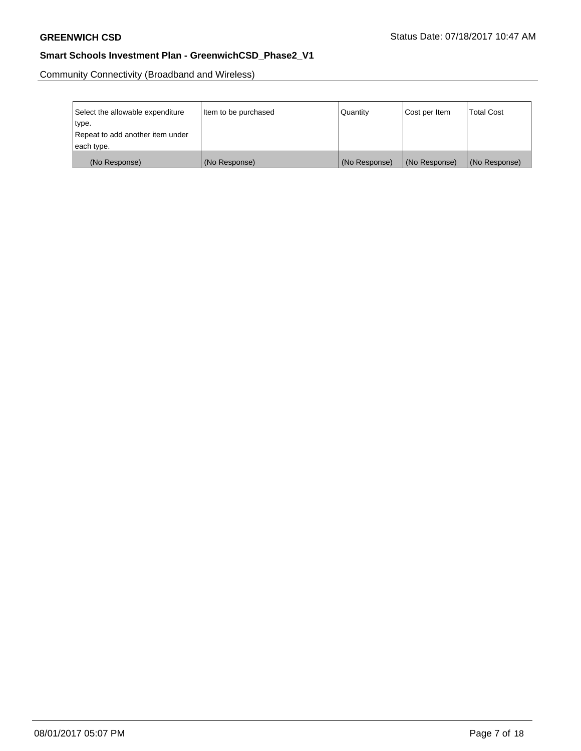Community Connectivity (Broadband and Wireless)

| Select the allowable expenditure | Item to be purchased | Quantity      | Cost per Item | <b>Total Cost</b> |
|----------------------------------|----------------------|---------------|---------------|-------------------|
| type.                            |                      |               |               |                   |
| Repeat to add another item under |                      |               |               |                   |
| each type.                       |                      |               |               |                   |
| (No Response)                    | (No Response)        | (No Response) | (No Response) | (No Response)     |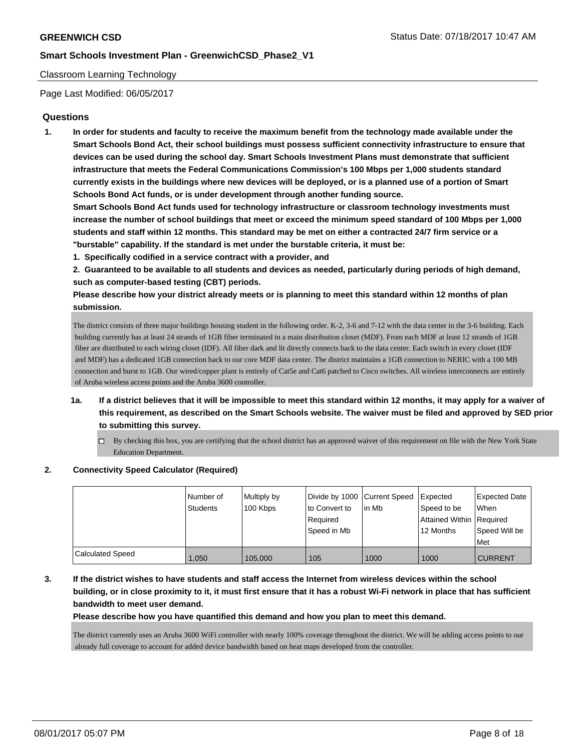#### Classroom Learning Technology

Page Last Modified: 06/05/2017

#### **Questions**

**1. In order for students and faculty to receive the maximum benefit from the technology made available under the Smart Schools Bond Act, their school buildings must possess sufficient connectivity infrastructure to ensure that devices can be used during the school day. Smart Schools Investment Plans must demonstrate that sufficient infrastructure that meets the Federal Communications Commission's 100 Mbps per 1,000 students standard currently exists in the buildings where new devices will be deployed, or is a planned use of a portion of Smart Schools Bond Act funds, or is under development through another funding source.**

**Smart Schools Bond Act funds used for technology infrastructure or classroom technology investments must increase the number of school buildings that meet or exceed the minimum speed standard of 100 Mbps per 1,000 students and staff within 12 months. This standard may be met on either a contracted 24/7 firm service or a "burstable" capability. If the standard is met under the burstable criteria, it must be:**

**1. Specifically codified in a service contract with a provider, and**

**2. Guaranteed to be available to all students and devices as needed, particularly during periods of high demand, such as computer-based testing (CBT) periods.**

**Please describe how your district already meets or is planning to meet this standard within 12 months of plan submission.**

The district consists of three major buildings housing student in the following order. K-2, 3-6 and 7-12 with the data center in the 3-6 building. Each building currently has at least 24 strands of 1GB fiber terminated in a main distribution closet (MDF). From each MDF at least 12 strands of 1GB fiber are distributed to each wiring closet (IDF). All fiber dark and lit directly connects back to the data center. Each switch in every closet (IDF and MDF) has a dedicated 1GB connection back to our core MDF data center. The district maintains a 1GB connection to NERIC with a 100 MB connection and burst to 1GB. Our wired/copper plant is entirely of Cat5e and Cat6 patched to Cisco switches. All wireless interconnects are entirely of Aruba wireless access points and the Aruba 3600 controller.

- **1a. If a district believes that it will be impossible to meet this standard within 12 months, it may apply for a waiver of this requirement, as described on the Smart Schools website. The waiver must be filed and approved by SED prior to submitting this survey.**
	- $\Box$  By checking this box, you are certifying that the school district has an approved waiver of this requirement on file with the New York State Education Department.

#### **2. Connectivity Speed Calculator (Required)**

|                  | I Number of<br><b>Students</b> | Multiply by<br>100 Kbps | Divide by 1000 Current Speed<br>to Convert to<br>Reauired<br>Speed in Mb | In Mb | <b>Expected</b><br>Speed to be<br>Attained Within Required<br>12 Months | <b>Expected Date</b><br>When<br>Speed Will be<br><b>Met</b> |
|------------------|--------------------------------|-------------------------|--------------------------------------------------------------------------|-------|-------------------------------------------------------------------------|-------------------------------------------------------------|
| Calculated Speed | .050                           | 105,000                 | 105                                                                      | 1000  | 1000                                                                    | <b>CURRENT</b>                                              |

**3. If the district wishes to have students and staff access the Internet from wireless devices within the school building, or in close proximity to it, it must first ensure that it has a robust Wi-Fi network in place that has sufficient bandwidth to meet user demand.**

**Please describe how you have quantified this demand and how you plan to meet this demand.**

The district currently uses an Aruba 3600 WiFi controller with nearly 100% coverage throughout the district. We will be adding access points to our already full coverage to account for added device bandwidth based on heat maps developed from the controller.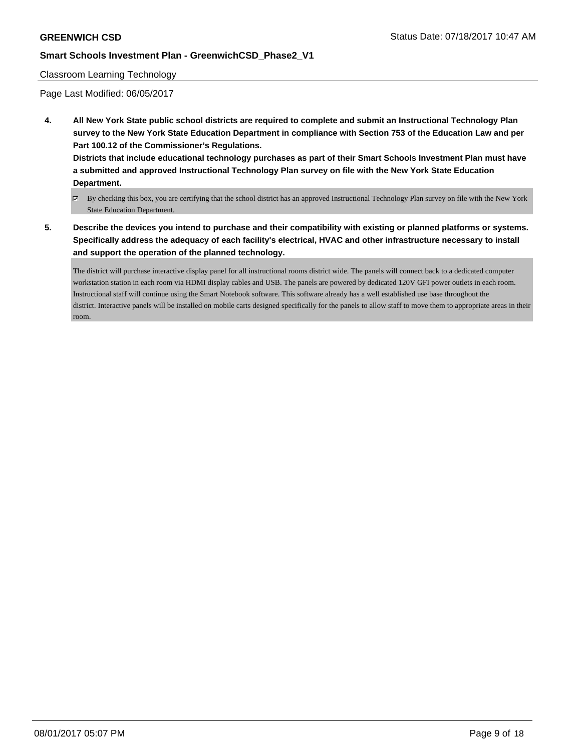#### Classroom Learning Technology

Page Last Modified: 06/05/2017

**4. All New York State public school districts are required to complete and submit an Instructional Technology Plan survey to the New York State Education Department in compliance with Section 753 of the Education Law and per Part 100.12 of the Commissioner's Regulations.**

**Districts that include educational technology purchases as part of their Smart Schools Investment Plan must have a submitted and approved Instructional Technology Plan survey on file with the New York State Education Department.**

- By checking this box, you are certifying that the school district has an approved Instructional Technology Plan survey on file with the New York State Education Department.
- **5. Describe the devices you intend to purchase and their compatibility with existing or planned platforms or systems. Specifically address the adequacy of each facility's electrical, HVAC and other infrastructure necessary to install and support the operation of the planned technology.**

The district will purchase interactive display panel for all instructional rooms district wide. The panels will connect back to a dedicated computer workstation station in each room via HDMI display cables and USB. The panels are powered by dedicated 120V GFI power outlets in each room. Instructional staff will continue using the Smart Notebook software. This software already has a well established use base throughout the district. Interactive panels will be installed on mobile carts designed specifically for the panels to allow staff to move them to appropriate areas in their room.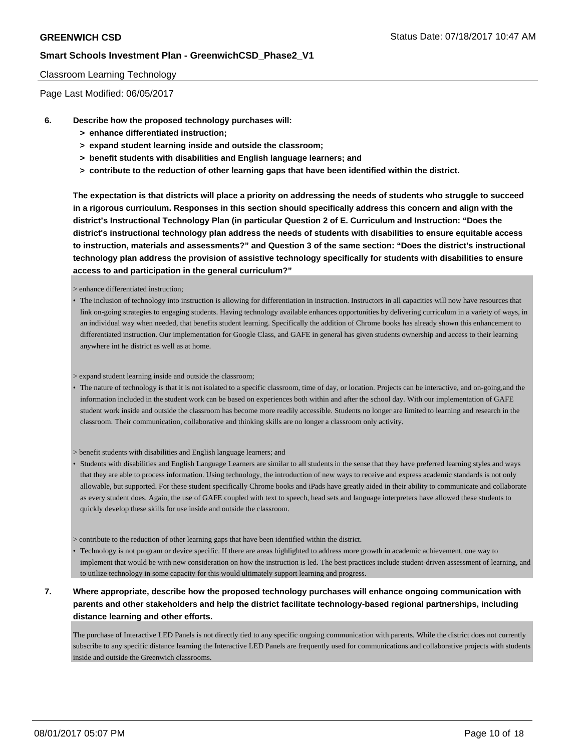#### Classroom Learning Technology

Page Last Modified: 06/05/2017

- **6. Describe how the proposed technology purchases will:**
	- **> enhance differentiated instruction;**
	- **> expand student learning inside and outside the classroom;**
	- **> benefit students with disabilities and English language learners; and**
	- **> contribute to the reduction of other learning gaps that have been identified within the district.**

**The expectation is that districts will place a priority on addressing the needs of students who struggle to succeed in a rigorous curriculum. Responses in this section should specifically address this concern and align with the district's Instructional Technology Plan (in particular Question 2 of E. Curriculum and Instruction: "Does the district's instructional technology plan address the needs of students with disabilities to ensure equitable access to instruction, materials and assessments?" and Question 3 of the same section: "Does the district's instructional technology plan address the provision of assistive technology specifically for students with disabilities to ensure access to and participation in the general curriculum?"**

- > enhance differentiated instruction;
- The inclusion of technology into instruction is allowing for differentiation in instruction. Instructors in all capacities will now have resources that link on-going strategies to engaging students. Having technology available enhances opportunities by delivering curriculum in a variety of ways, in an individual way when needed, that benefits student learning. Specifically the addition of Chrome books has already shown this enhancement to differentiated instruction. Our implementation for Google Class, and GAFE in general has given students ownership and access to their learning anywhere int he district as well as at home.
- > expand student learning inside and outside the classroom;
- The nature of technology is that it is not isolated to a specific classroom, time of day, or location. Projects can be interactive, and on-going,and the information included in the student work can be based on experiences both within and after the school day. With our implementation of GAFE student work inside and outside the classroom has become more readily accessible. Students no longer are limited to learning and research in the classroom. Their communication, collaborative and thinking skills are no longer a classroom only activity.

> benefit students with disabilities and English language learners; and

• Students with disabilities and English Language Learners are similar to all students in the sense that they have preferred learning styles and ways that they are able to process information. Using technology, the introduction of new ways to receive and express academic standards is not only allowable, but supported. For these student specifically Chrome books and iPads have greatly aided in their ability to communicate and collaborate as every student does. Again, the use of GAFE coupled with text to speech, head sets and language interpreters have allowed these students to quickly develop these skills for use inside and outside the classroom.

> contribute to the reduction of other learning gaps that have been identified within the district.

- Technology is not program or device specific. If there are areas highlighted to address more growth in academic achievement, one way to implement that would be with new consideration on how the instruction is led. The best practices include student-driven assessment of learning, and to utilize technology in some capacity for this would ultimately support learning and progress.
- **7. Where appropriate, describe how the proposed technology purchases will enhance ongoing communication with parents and other stakeholders and help the district facilitate technology-based regional partnerships, including distance learning and other efforts.**

The purchase of Interactive LED Panels is not directly tied to any specific ongoing communication with parents. While the district does not currently subscribe to any specific distance learning the Interactive LED Panels are frequently used for communications and collaborative projects with students inside and outside the Greenwich classrooms.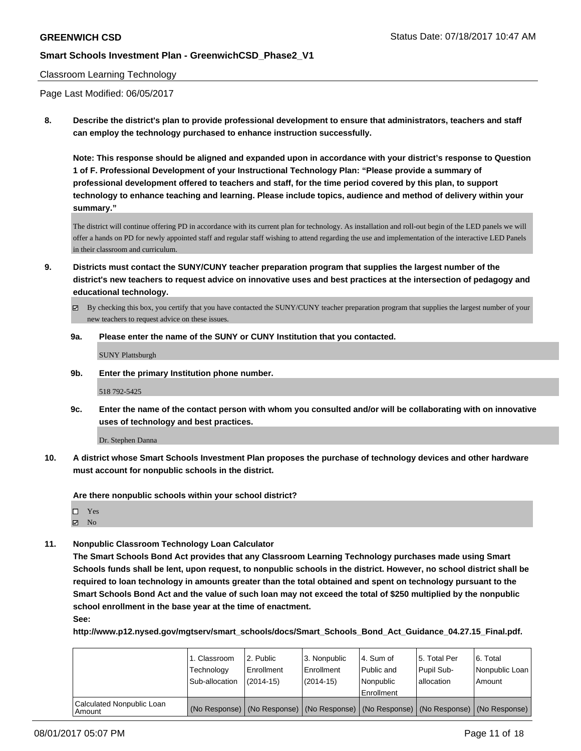#### Classroom Learning Technology

Page Last Modified: 06/05/2017

**8. Describe the district's plan to provide professional development to ensure that administrators, teachers and staff can employ the technology purchased to enhance instruction successfully.**

**Note: This response should be aligned and expanded upon in accordance with your district's response to Question 1 of F. Professional Development of your Instructional Technology Plan: "Please provide a summary of professional development offered to teachers and staff, for the time period covered by this plan, to support technology to enhance teaching and learning. Please include topics, audience and method of delivery within your summary."**

The district will continue offering PD in accordance with its current plan for technology. As installation and roll-out begin of the LED panels we will offer a hands on PD for newly appointed staff and regular staff wishing to attend regarding the use and implementation of the interactive LED Panels in their classroom and curriculum.

**9. Districts must contact the SUNY/CUNY teacher preparation program that supplies the largest number of the district's new teachers to request advice on innovative uses and best practices at the intersection of pedagogy and educational technology.**

 $\boxtimes$  By checking this box, you certify that you have contacted the SUNY/CUNY teacher preparation program that supplies the largest number of your new teachers to request advice on these issues.

#### **9a. Please enter the name of the SUNY or CUNY Institution that you contacted.**

SUNY Plattsburgh

**9b. Enter the primary Institution phone number.**

518 792-5425

**9c. Enter the name of the contact person with whom you consulted and/or will be collaborating with on innovative uses of technology and best practices.**

Dr. Stephen Danna

**10. A district whose Smart Schools Investment Plan proposes the purchase of technology devices and other hardware must account for nonpublic schools in the district.**

**Are there nonpublic schools within your school district?**

□ Yes  $\boxtimes$  No

**11. Nonpublic Classroom Technology Loan Calculator**

**The Smart Schools Bond Act provides that any Classroom Learning Technology purchases made using Smart Schools funds shall be lent, upon request, to nonpublic schools in the district. However, no school district shall be required to loan technology in amounts greater than the total obtained and spent on technology pursuant to the Smart Schools Bond Act and the value of such loan may not exceed the total of \$250 multiplied by the nonpublic school enrollment in the base year at the time of enactment.**

**See:**

**http://www.p12.nysed.gov/mgtserv/smart\_schools/docs/Smart\_Schools\_Bond\_Act\_Guidance\_04.27.15\_Final.pdf.**

|                                       | 1. Classroom<br>Technology<br>Sub-allocation | l 2. Public<br>l Enrollment<br>$(2014 - 15)$ | 3. Nonpublic<br>Enrollment<br>$(2014-15)$ | l 4. Sum of<br>Public and<br>l Nonpublic<br>Enrollment                                        | l 5. Total Per<br>Pupil Sub-<br>allocation | 16. Total<br>Nonpublic Loan<br>Amount |
|---------------------------------------|----------------------------------------------|----------------------------------------------|-------------------------------------------|-----------------------------------------------------------------------------------------------|--------------------------------------------|---------------------------------------|
| Calculated Nonpublic Loan<br>l Amount |                                              |                                              |                                           | (No Response)   (No Response)   (No Response)   (No Response)   (No Response)   (No Response) |                                            |                                       |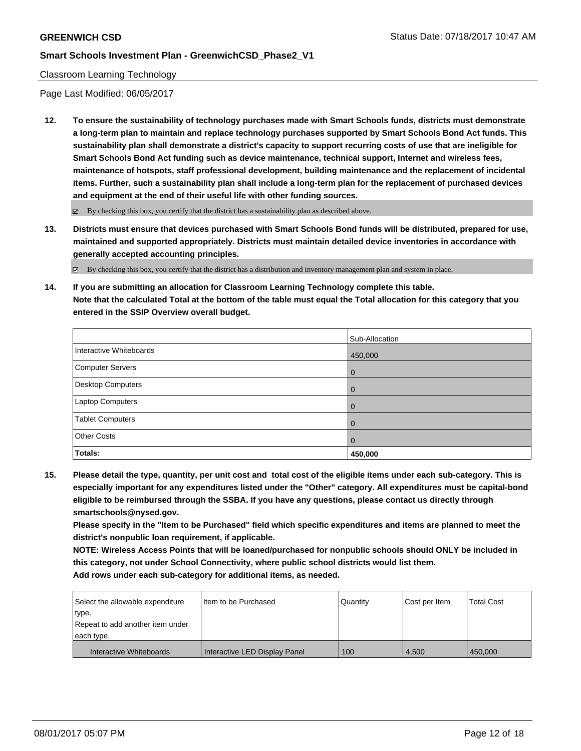#### Classroom Learning Technology

Page Last Modified: 06/05/2017

**12. To ensure the sustainability of technology purchases made with Smart Schools funds, districts must demonstrate a long-term plan to maintain and replace technology purchases supported by Smart Schools Bond Act funds. This sustainability plan shall demonstrate a district's capacity to support recurring costs of use that are ineligible for Smart Schools Bond Act funding such as device maintenance, technical support, Internet and wireless fees, maintenance of hotspots, staff professional development, building maintenance and the replacement of incidental items. Further, such a sustainability plan shall include a long-term plan for the replacement of purchased devices and equipment at the end of their useful life with other funding sources.**

 $\boxtimes$  By checking this box, you certify that the district has a sustainability plan as described above.

**13. Districts must ensure that devices purchased with Smart Schools Bond funds will be distributed, prepared for use, maintained and supported appropriately. Districts must maintain detailed device inventories in accordance with generally accepted accounting principles.**

By checking this box, you certify that the district has a distribution and inventory management plan and system in place.

**14. If you are submitting an allocation for Classroom Learning Technology complete this table. Note that the calculated Total at the bottom of the table must equal the Total allocation for this category that you entered in the SSIP Overview overall budget.**

|                         | Sub-Allocation |
|-------------------------|----------------|
| Interactive Whiteboards | 450,000        |
| Computer Servers        | l 0            |
| Desktop Computers       | $\Omega$       |
| <b>Laptop Computers</b> | $\Omega$       |
| <b>Tablet Computers</b> | $\Omega$       |
| <b>Other Costs</b>      | $\overline{0}$ |
| Totals:                 | 450,000        |

**15. Please detail the type, quantity, per unit cost and total cost of the eligible items under each sub-category. This is especially important for any expenditures listed under the "Other" category. All expenditures must be capital-bond eligible to be reimbursed through the SSBA. If you have any questions, please contact us directly through smartschools@nysed.gov.**

**Please specify in the "Item to be Purchased" field which specific expenditures and items are planned to meet the district's nonpublic loan requirement, if applicable.**

**NOTE: Wireless Access Points that will be loaned/purchased for nonpublic schools should ONLY be included in this category, not under School Connectivity, where public school districts would list them.**

| Select the allowable expenditure | I Item to be Purchased        | l Quantitv | Cost per Item | <b>Total Cost</b> |
|----------------------------------|-------------------------------|------------|---------------|-------------------|
| type.                            |                               |            |               |                   |
| Repeat to add another item under |                               |            |               |                   |
| each type.                       |                               |            |               |                   |
| Interactive Whiteboards          | Interactive LED Display Panel | 100        | 4.500         | 450,000           |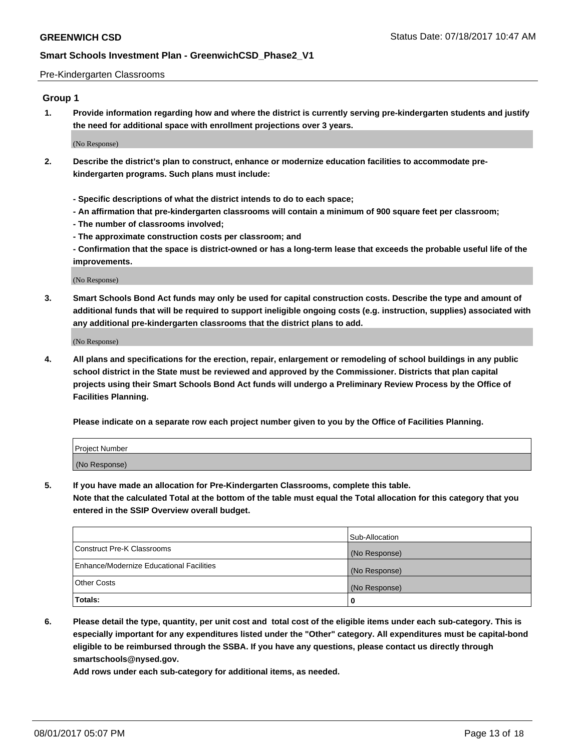Pre-Kindergarten Classrooms

### **Group 1**

**1. Provide information regarding how and where the district is currently serving pre-kindergarten students and justify the need for additional space with enrollment projections over 3 years.**

(No Response)

- **2. Describe the district's plan to construct, enhance or modernize education facilities to accommodate prekindergarten programs. Such plans must include:**
	- **Specific descriptions of what the district intends to do to each space;**
	- **An affirmation that pre-kindergarten classrooms will contain a minimum of 900 square feet per classroom;**
	- **The number of classrooms involved;**
	- **The approximate construction costs per classroom; and**

**- Confirmation that the space is district-owned or has a long-term lease that exceeds the probable useful life of the improvements.**

(No Response)

**3. Smart Schools Bond Act funds may only be used for capital construction costs. Describe the type and amount of additional funds that will be required to support ineligible ongoing costs (e.g. instruction, supplies) associated with any additional pre-kindergarten classrooms that the district plans to add.**

(No Response)

**4. All plans and specifications for the erection, repair, enlargement or remodeling of school buildings in any public school district in the State must be reviewed and approved by the Commissioner. Districts that plan capital projects using their Smart Schools Bond Act funds will undergo a Preliminary Review Process by the Office of Facilities Planning.**

**Please indicate on a separate row each project number given to you by the Office of Facilities Planning.**

| Project Number |  |
|----------------|--|
| (No Response)  |  |

**5. If you have made an allocation for Pre-Kindergarten Classrooms, complete this table.**

**Note that the calculated Total at the bottom of the table must equal the Total allocation for this category that you entered in the SSIP Overview overall budget.**

|                                          | Sub-Allocation |
|------------------------------------------|----------------|
| Construct Pre-K Classrooms               | (No Response)  |
| Enhance/Modernize Educational Facilities | (No Response)  |
| Other Costs                              | (No Response)  |
| Totals:                                  | 0              |

**6. Please detail the type, quantity, per unit cost and total cost of the eligible items under each sub-category. This is especially important for any expenditures listed under the "Other" category. All expenditures must be capital-bond eligible to be reimbursed through the SSBA. If you have any questions, please contact us directly through smartschools@nysed.gov.**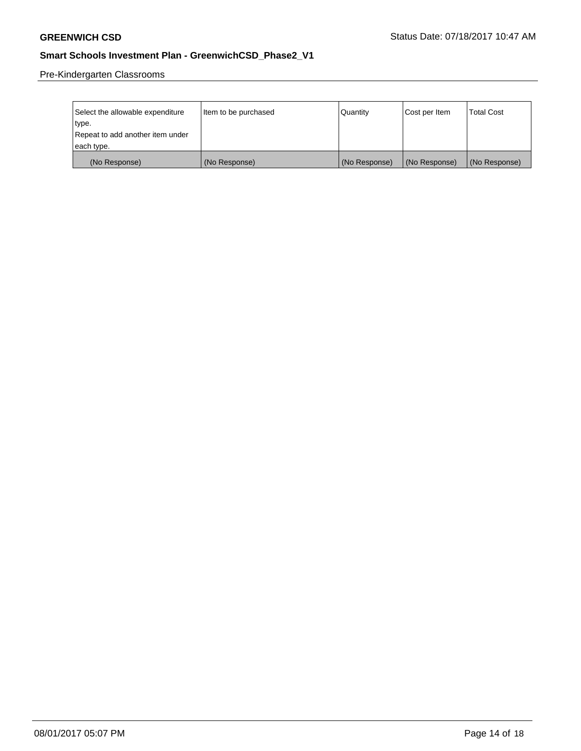Pre-Kindergarten Classrooms

| Select the allowable expenditure | Item to be purchased | Quantity      | Cost per Item | <b>Total Cost</b> |
|----------------------------------|----------------------|---------------|---------------|-------------------|
| type.                            |                      |               |               |                   |
| Repeat to add another item under |                      |               |               |                   |
| each type.                       |                      |               |               |                   |
| (No Response)                    | (No Response)        | (No Response) | (No Response) | (No Response)     |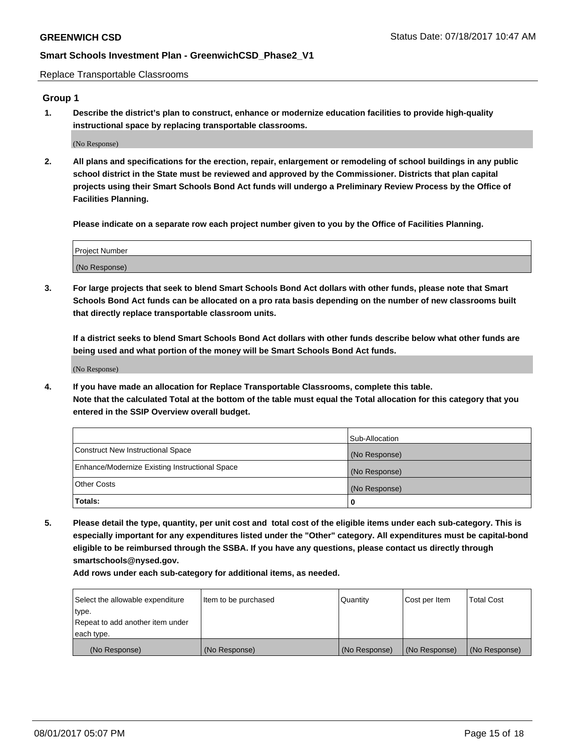Replace Transportable Classrooms

## **Group 1**

**1. Describe the district's plan to construct, enhance or modernize education facilities to provide high-quality instructional space by replacing transportable classrooms.**

(No Response)

**2. All plans and specifications for the erection, repair, enlargement or remodeling of school buildings in any public school district in the State must be reviewed and approved by the Commissioner. Districts that plan capital projects using their Smart Schools Bond Act funds will undergo a Preliminary Review Process by the Office of Facilities Planning.**

**Please indicate on a separate row each project number given to you by the Office of Facilities Planning.**

| Project Number |  |
|----------------|--|
| (No Response)  |  |

**3. For large projects that seek to blend Smart Schools Bond Act dollars with other funds, please note that Smart Schools Bond Act funds can be allocated on a pro rata basis depending on the number of new classrooms built that directly replace transportable classroom units.**

**If a district seeks to blend Smart Schools Bond Act dollars with other funds describe below what other funds are being used and what portion of the money will be Smart Schools Bond Act funds.**

(No Response)

**4. If you have made an allocation for Replace Transportable Classrooms, complete this table. Note that the calculated Total at the bottom of the table must equal the Total allocation for this category that you entered in the SSIP Overview overall budget.**

|                                                | Sub-Allocation |
|------------------------------------------------|----------------|
| Construct New Instructional Space              | (No Response)  |
| Enhance/Modernize Existing Instructional Space | (No Response)  |
| Other Costs                                    | (No Response)  |
| Totals:                                        | 0              |

**5. Please detail the type, quantity, per unit cost and total cost of the eligible items under each sub-category. This is especially important for any expenditures listed under the "Other" category. All expenditures must be capital-bond eligible to be reimbursed through the SSBA. If you have any questions, please contact us directly through smartschools@nysed.gov.**

| Select the allowable expenditure | Item to be purchased | Quantity      | Cost per Item | <b>Total Cost</b> |
|----------------------------------|----------------------|---------------|---------------|-------------------|
| type.                            |                      |               |               |                   |
| Repeat to add another item under |                      |               |               |                   |
| each type.                       |                      |               |               |                   |
| (No Response)                    | (No Response)        | (No Response) | (No Response) | (No Response)     |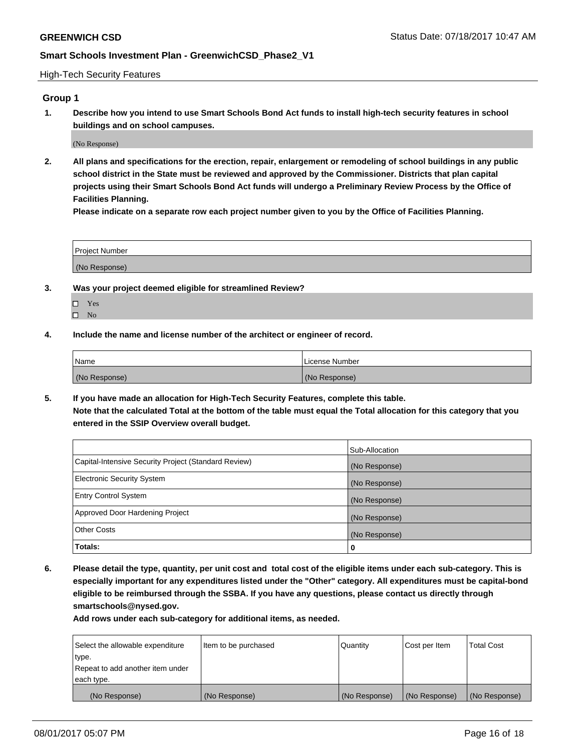High-Tech Security Features

#### **Group 1**

**1. Describe how you intend to use Smart Schools Bond Act funds to install high-tech security features in school buildings and on school campuses.**

(No Response)

**2. All plans and specifications for the erection, repair, enlargement or remodeling of school buildings in any public school district in the State must be reviewed and approved by the Commissioner. Districts that plan capital projects using their Smart Schools Bond Act funds will undergo a Preliminary Review Process by the Office of Facilities Planning.** 

**Please indicate on a separate row each project number given to you by the Office of Facilities Planning.**

| <b>Project Number</b>           |  |
|---------------------------------|--|
| (No Response<br>∣ (No Response) |  |

- **3. Was your project deemed eligible for streamlined Review?**
	- Yes  $\square$  No
- **4. Include the name and license number of the architect or engineer of record.**

| <b>Name</b>   | License Number |
|---------------|----------------|
| (No Response) | (No Response)  |

**5. If you have made an allocation for High-Tech Security Features, complete this table. Note that the calculated Total at the bottom of the table must equal the Total allocation for this category that you entered in the SSIP Overview overall budget.**

|                                                      | Sub-Allocation |
|------------------------------------------------------|----------------|
| Capital-Intensive Security Project (Standard Review) | (No Response)  |
| <b>Electronic Security System</b>                    | (No Response)  |
| <b>Entry Control System</b>                          | (No Response)  |
| Approved Door Hardening Project                      | (No Response)  |
| <b>Other Costs</b>                                   | (No Response)  |
| Totals:                                              | 0              |

**6. Please detail the type, quantity, per unit cost and total cost of the eligible items under each sub-category. This is especially important for any expenditures listed under the "Other" category. All expenditures must be capital-bond eligible to be reimbursed through the SSBA. If you have any questions, please contact us directly through smartschools@nysed.gov.**

| Select the allowable expenditure | Item to be purchased | Quantity      | Cost per Item | <b>Total Cost</b> |
|----------------------------------|----------------------|---------------|---------------|-------------------|
| type.                            |                      |               |               |                   |
| Repeat to add another item under |                      |               |               |                   |
| each type.                       |                      |               |               |                   |
| (No Response)                    | (No Response)        | (No Response) | (No Response) | (No Response)     |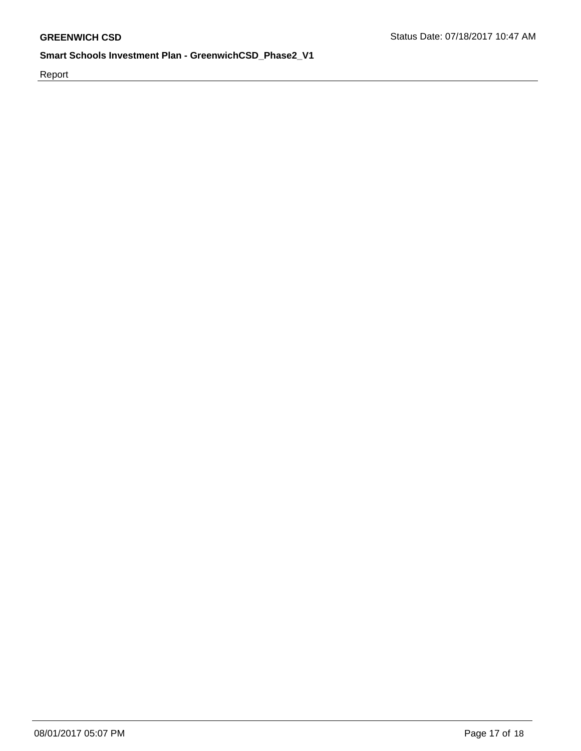Report